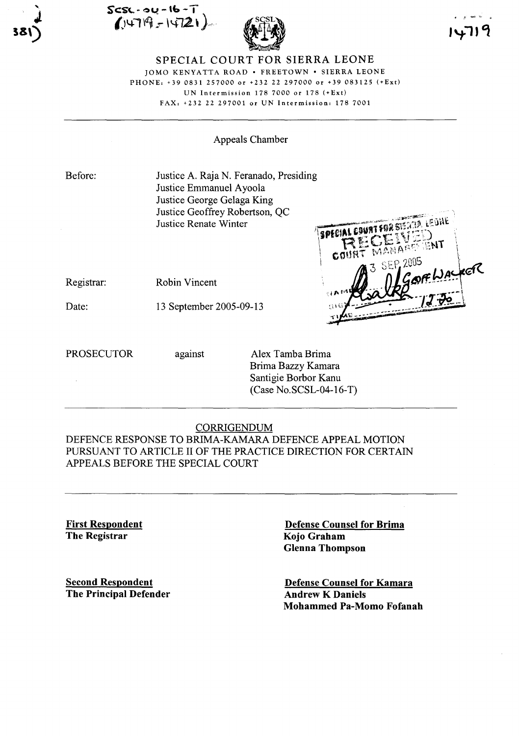Scs~· 04 **- 'C:»-T**  $(1479 - 14721)$ 



#### SPECIAL COURT FOR SIERRA LEONE JOMO KENYATTA ROAD · FREETOWN · SIERRA LEONE PHONE: +390831 257000 or +232 22 297000 or +39 083125 (+Ext) UN Intermission 178 7000 or 178 (+Ext) FAX, +232 22 297001 or UN Intermission: 178 7001

Appeals Chamber

Before:

Date:

Justice A. Raja N. Feranado, Presiding Justice Emmanuel Ayoola Justice George Gelaga King Justice Geoffrey Robertson, QC Justice Renate Winter

LEJHE SPECIAL COURT FOR SIERRA COU OFWAS

Registrar: Robin Vincent

13 September 2005-09-13

PROSECUTOR against Alex Tamba Brima Brima Bazzy Kamara Santigie Borbor Kanu (Case No.SCSL-04-l6-T)

# CORRIGENDUM

DEFENCE RESPONSE TO BRIMA-KAMARA DEFENCE APPEAL MOTION PURSUANT TO ARTICLE II OF THE PRACTICE DIRECTION FOR CERTAIN APPEALS BEFORE THE SPECIAL COURT

First Respondent The Registrar

Second Respondent The Principal Defender Defense Counsel for Brima Kojo Graham Glenna Thompson

Defense Counsel for Kamara Andrew K Daniels Mohammed Pa-Momo Fofanah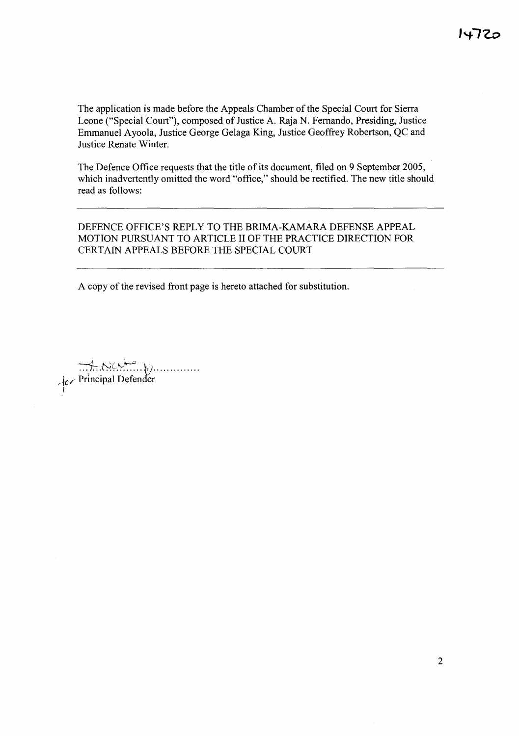The application is made before the Appeals Chamber of the Special Court for Sierra Leone ("Special Court"), composed of Justice A. Raja N. Fernando, Presiding, Justice Emmanuel Ayoola, Justice George Gelaga King, Justice Geoffrey Robertson, QC and Justice Renate Winter.

The Defence Office requests that the title of its document, filed on 9 September 2005, which inadvertently omitted the word "office," should be rectified. The new title should read as follows:

DEFENCE OFFICE'S REPLY TO THE BRIMA-KAMARA DEFENSE APPEAL MOTION PURSUANT TO ARTICLE II OF THE PRACTICE DIRECTION FOR CERTAIN APPEALS BEFORE THE SPECIAL COURT

A copy of the revised front page is hereto attached for substitution.

 $~\downarrow_{c}$  Principal Defender I